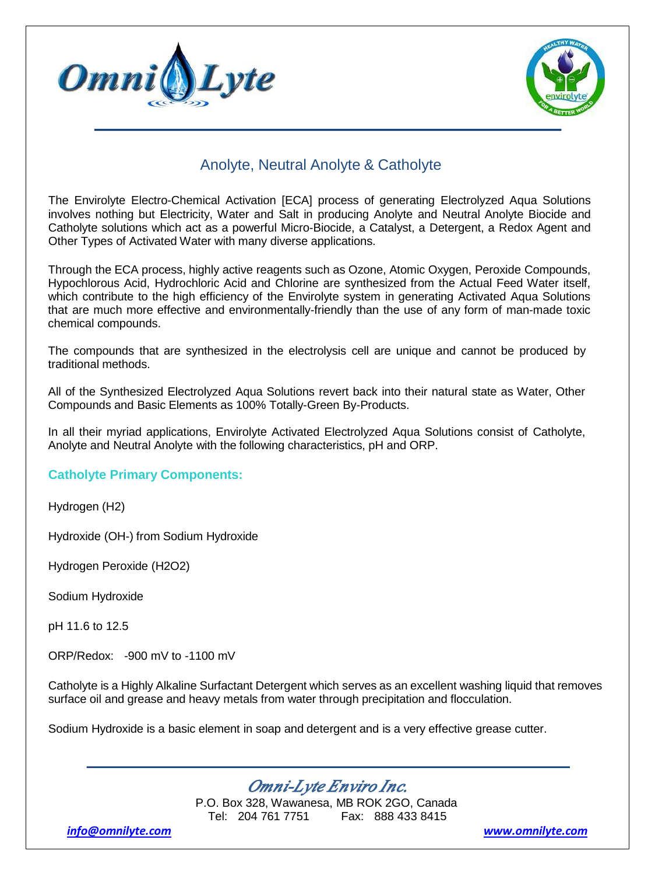



## Anolyte, Neutral Anolyte & Catholyte

The Envirolyte Electro-Chemical Activation [ECA] process of generating Electrolyzed Aqua Solutions involves nothing but Electricity, Water and Salt in producing Anolyte and Neutral Anolyte Biocide and Catholyte solutions which act as a powerful Micro-Biocide, a Catalyst, a Detergent, a Redox Agent and Other Types of Activated Water with many diverse applications.

Through the ECA process, highly active reagents such as Ozone, Atomic Oxygen, Peroxide Compounds, Hypochlorous Acid, Hydrochloric Acid and Chlorine are synthesized from the Actual Feed Water itself, which contribute to the high efficiency of the Envirolyte system in generating Activated Aqua Solutions that are much more effective and environmentally-friendly than the use of any form of man-made toxic chemical compounds.

The compounds that are synthesized in the electrolysis cell are unique and cannot be produced by traditional methods.

All of the Synthesized Electrolyzed Aqua Solutions revert back into their natural state as Water, Other Compounds and Basic Elements as 100% Totally-Green By-Products.

In all their myriad applications, Envirolyte Activated Electrolyzed Aqua Solutions consist of Catholyte, Anolyte and Neutral Anolyte with the following characteristics, pH and ORP.

## **Catholyte Primary Components:**

Hydrogen (H2)

Hydroxide (OH-) from Sodium Hydroxide

Hydrogen Peroxide (H2O2)

Sodium Hydroxide

pH 11.6 to 12.5

ORP/Redox: -900 mV to -1100 mV

Catholyte is a Highly Alkaline Surfactant Detergent which serves as an excellent washing liquid that removes surface oil and grease and heavy metals from water through precipitation and flocculation.

Sodium Hydroxide is a basic element in soap and detergent and is a very effective grease cutter.

*Omni-Lyte Enviro Inc.* P.O. Box 328, Wawanesa, MB ROK 2GO, Canada Tel: 204 761 7751 Fax: 888 433 8415

*[info@omnilyte.com](mailto:info@omnilyte.com) [www.omnilyte.com](http://www.omnilyte.com/)*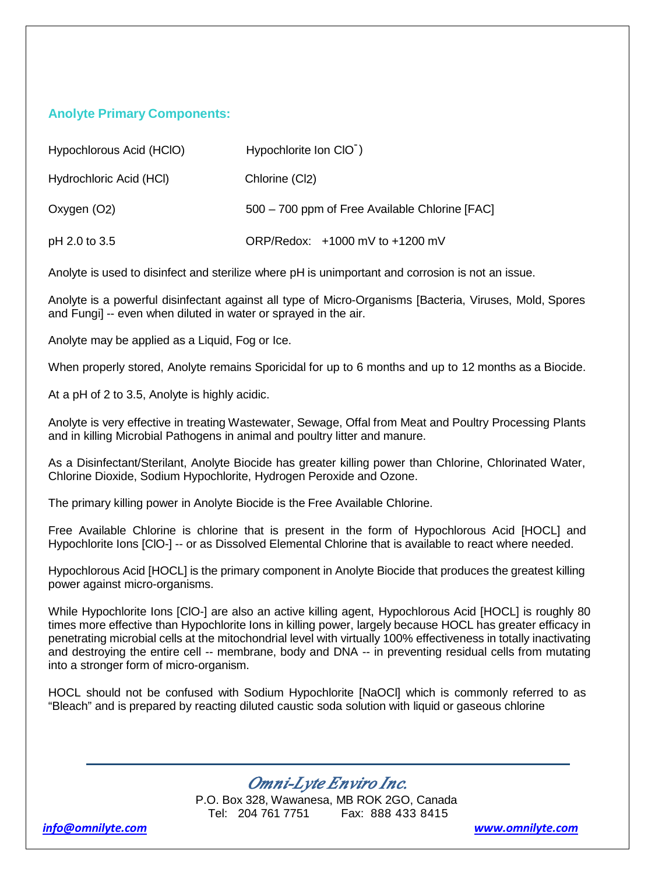## **Anolyte Primary Components:**

| Hypochlorous Acid (HCIO) | Hypochlorite Ion CIO <sup>-</sup> )            |
|--------------------------|------------------------------------------------|
| Hydrochloric Acid (HCI)  | Chlorine (Cl <sub>2</sub> )                    |
| Oxygen (O2)              | 500 – 700 ppm of Free Available Chlorine [FAC] |
| pH 2.0 to 3.5            | ORP/Redox: $+1000$ mV to $+1200$ mV            |

Anolyte is used to disinfect and sterilize where pH is unimportant and corrosion is not an issue.

Anolyte is a powerful disinfectant against all type of Micro-Organisms [Bacteria, Viruses, Mold, Spores and Fungi] -- even when diluted in water or sprayed in the air.

Anolyte may be applied as a Liquid, Fog or Ice.

When properly stored, Anolyte remains Sporicidal for up to 6 months and up to 12 months as a Biocide.

At a pH of 2 to 3.5, Anolyte is highly acidic.

Anolyte is very effective in treating Wastewater, Sewage, Offal from Meat and Poultry Processing Plants and in killing Microbial Pathogens in animal and poultry litter and manure.

As a Disinfectant/Sterilant, Anolyte Biocide has greater killing power than Chlorine, Chlorinated Water, Chlorine Dioxide, Sodium Hypochlorite, Hydrogen Peroxide and Ozone.

The primary killing power in Anolyte Biocide is the Free Available Chlorine.

Free Available Chlorine is chlorine that is present in the form of Hypochlorous Acid [HOCL] and Hypochlorite Ions [ClO-] -- or as Dissolved Elemental Chlorine that is available to react where needed.

Hypochlorous Acid [HOCL] is the primary component in Anolyte Biocide that produces the greatest killing power against micro-organisms.

While Hypochlorite Ions [ClO-] are also an active killing agent, Hypochlorous Acid [HOCL] is roughly 80 times more effective than Hypochlorite Ions in killing power, largely because HOCL has greater efficacy in penetrating microbial cells at the mitochondrial level with virtually 100% effectiveness in totally inactivating and destroying the entire cell -- membrane, body and DNA -- in preventing residual cells from mutating into a stronger form of micro-organism.

HOCL should not be confused with Sodium Hypochlorite [NaOCl] which is commonly referred to as "Bleach" and is prepared by reacting diluted caustic soda solution with liquid or gaseous chlorine

*Omni-Lyte Enviro Inc.*

P.O. Box 328, Wawanesa, MB ROK 2GO, Canada Fax: 888 433 8415

*[info@omnilyte.com](mailto:info@omnilyte.com) [www.omnilyte.com](http://www.omnilyte.com/)*